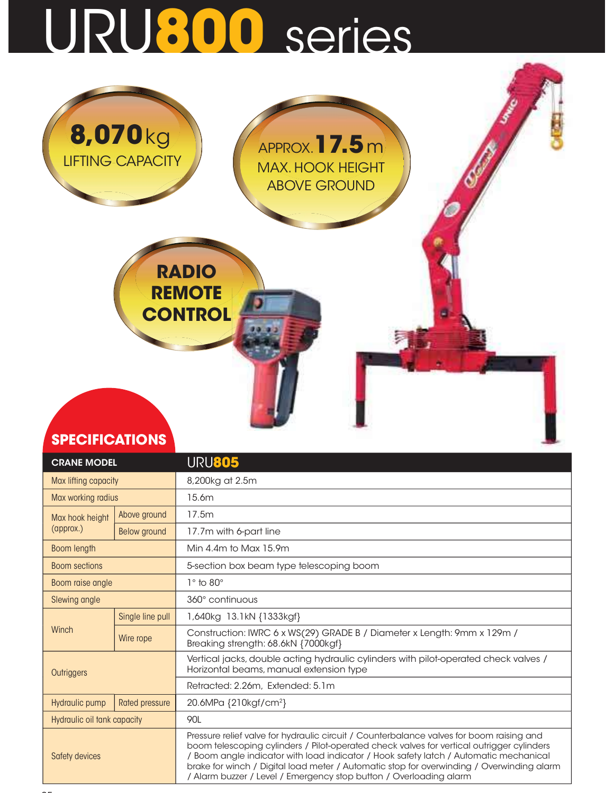## URU800 series



## **SPECIFICATIONS**

| <b>CRANE MODEL</b>                                           |                  | <b>URU805</b>                                                                                                                                                                                                                                                                                                                                                                                                                                   |  |  |  |  |  |  |  |  |
|--------------------------------------------------------------|------------------|-------------------------------------------------------------------------------------------------------------------------------------------------------------------------------------------------------------------------------------------------------------------------------------------------------------------------------------------------------------------------------------------------------------------------------------------------|--|--|--|--|--|--|--|--|
| Max lifting capacity                                         |                  | 8,200kg at 2.5m                                                                                                                                                                                                                                                                                                                                                                                                                                 |  |  |  |  |  |  |  |  |
| Max working radius                                           |                  | 15.6m                                                                                                                                                                                                                                                                                                                                                                                                                                           |  |  |  |  |  |  |  |  |
| Max hook height                                              | Above ground     | 17.5m                                                                                                                                                                                                                                                                                                                                                                                                                                           |  |  |  |  |  |  |  |  |
| (approx.)                                                    | Below ground     | 17.7m with 6-part line                                                                                                                                                                                                                                                                                                                                                                                                                          |  |  |  |  |  |  |  |  |
| Boom length                                                  |                  | Min 4.4m to Max 15.9m                                                                                                                                                                                                                                                                                                                                                                                                                           |  |  |  |  |  |  |  |  |
| <b>Boom sections</b>                                         |                  | 5-section box beam type telescoping boom                                                                                                                                                                                                                                                                                                                                                                                                        |  |  |  |  |  |  |  |  |
| Boom raise angle                                             |                  | $1^\circ$ to $80^\circ$                                                                                                                                                                                                                                                                                                                                                                                                                         |  |  |  |  |  |  |  |  |
| Slewing angle                                                |                  | 360° continuous                                                                                                                                                                                                                                                                                                                                                                                                                                 |  |  |  |  |  |  |  |  |
|                                                              | Single line pull | 1,640kg 13.1kN {1333kgf}                                                                                                                                                                                                                                                                                                                                                                                                                        |  |  |  |  |  |  |  |  |
| Winch                                                        | Wire rope        | Construction: IWRC 6 x WS(29) GRADE B / Diameter x Length: 9mm x 129m /<br>Breaking strength: 68.6kN {7000kgf}                                                                                                                                                                                                                                                                                                                                  |  |  |  |  |  |  |  |  |
| Horizontal beams, manual extension type<br><b>Outriggers</b> |                  | Vertical jacks, double acting hydraulic cylinders with pilot-operated check valves /                                                                                                                                                                                                                                                                                                                                                            |  |  |  |  |  |  |  |  |
|                                                              |                  | Retracted: 2.26m, Extended: 5.1m                                                                                                                                                                                                                                                                                                                                                                                                                |  |  |  |  |  |  |  |  |
| Hydraulic pump                                               | Rated pressure   | 20.6MPa {210kgf/cm <sup>2</sup> }                                                                                                                                                                                                                                                                                                                                                                                                               |  |  |  |  |  |  |  |  |
| Hydraulic oil tank capacity                                  |                  | <b>90L</b>                                                                                                                                                                                                                                                                                                                                                                                                                                      |  |  |  |  |  |  |  |  |
| Safety devices                                               |                  | Pressure relief valve for hydraulic circuit / Counterbalance valves for boom raising and<br>boom telescoping cylinders / Pilot-operated check valves for vertical outrigger cylinders<br>Boom angle indicator with load indicator / Hook safety latch / Automatic mechanical<br>brake for winch / Digital load meter / Automatic stop for overwinding / Overwinding alarm<br>/ Alarm buzzer / Level / Emergency stop button / Overloading alarm |  |  |  |  |  |  |  |  |